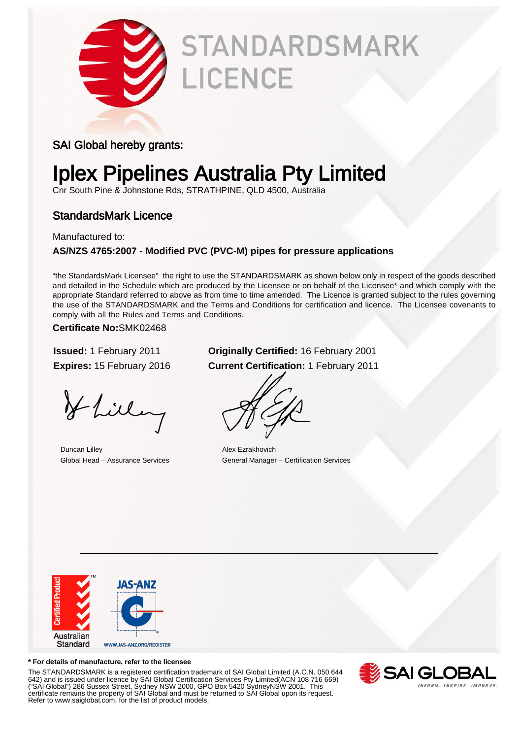

# **STANDARDSMARK** LICENCE

### SAI Global hereby grants:

# Iplex Pipelines Australia Pty Limited

Cnr South Pine & Johnstone Rds, STRATHPINE, QLD 4500, Australia

### StandardsMark Licence

Manufactured to:

#### **AS/NZS 4765:2007 - Modified PVC (PVC-M) pipes for pressure applications**

"the StandardsMark Licensee" the right to use the STANDARDSMARK as shown below only in respect of the goods described and detailed in the Schedule which are produced by the Licensee or on behalf of the Licensee\* and which comply with the appropriate Standard referred to above as from time to time amended. The Licence is granted subject to the rules governing the use of the STANDARDSMARK and the Terms and Conditions for certification and licence. The Licensee covenants to comply with all the Rules and Terms and Conditions.

**Certificate No:**SMK02468

Hlilling

Duncan Lilley Alex Ezrakhovich

### **Issued:** 1 February 2011 **Originally Certified:** 16 February 2001 **Expires:** 15 February 2016 **Current Certification:** 1 February 2011

Global Head – Assurance Services General Manager – Certification Services



#### **\* For details of manufacture, refer to the licensee**

The STANDARDSMARK is a registered certification trademark of SAI Global Limited (A.C.N. 050 644 642) and is issued under licence by SAI Global Certification Services Pty Limited(ACN 108 716 669) ("SAI Global") 286 Sussex Street, Sydney NSW 2000, GPO Box 5420 SydneyNSW 2001. This certificate remains the property of SAI Global and must be returned to SAI Global upon its request. Refer to www.saiglobal.com, for the list of product models.

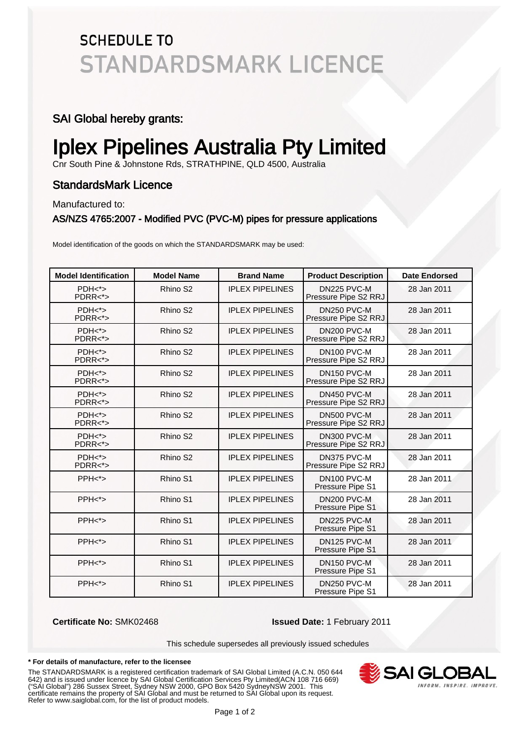## **SCHEDULE TO STANDARDSMARK LICENCE**

### SAI Global hereby grants:

# Iplex Pipelines Australia Pty Limited

Cnr South Pine & Johnstone Rds, STRATHPINE, QLD 4500, Australia

### StandardsMark Licence

Manufactured to:

#### AS/NZS 4765:2007 - Modified PVC (PVC-M) pipes for pressure applications

Model identification of the goods on which the STANDARDSMARK may be used:

| <b>Model Identification</b> | <b>Model Name</b>    | <b>Brand Name</b>      | <b>Product Description</b>                      | <b>Date Endorsed</b> |
|-----------------------------|----------------------|------------------------|-------------------------------------------------|----------------------|
| $PDH*$<br>$PDRR <^* >$      | Rhino S <sub>2</sub> | <b>IPLEX PIPELINES</b> | DN225 PVC-M<br>Pressure Pipe S2 RRJ             | 28 Jan 2011          |
| $PDH*$<br>$PDRR <^*>$       | Rhino S <sub>2</sub> | <b>IPLEX PIPELINES</b> | DN250 PVC-M<br>Pressure Pipe S2 RRJ             | 28 Jan 2011          |
| $PDH*$<br>$PDRR <^* >$      | Rhino S <sub>2</sub> | <b>IPLEX PIPELINES</b> | DN200 PVC-M<br>Pressure Pipe S2 RRJ             | 28 Jan 2011          |
| $PDH*$<br>$PDRR <^*>$       | Rhino S <sub>2</sub> | <b>IPLEX PIPELINES</b> | DN <sub>100</sub> PVC-M<br>Pressure Pipe S2 RRJ | 28 Jan 2011          |
| $PDH*$<br>$PDRR < \gt>$     | Rhino S <sub>2</sub> | <b>IPLEX PIPELINES</b> | DN150 PVC-M<br>Pressure Pipe S2 RRJ             | 28 Jan 2011          |
| $PDH*$<br>$PDRR <^*>$       | Rhino S2             | <b>IPLEX PIPELINES</b> | DN450 PVC-M<br>Pressure Pipe S2 RRJ             | 28 Jan 2011          |
| $PDH*$<br>$PDRR <^*>$       | Rhino S <sub>2</sub> | <b>IPLEX PIPELINES</b> | DN500 PVC-M<br>Pressure Pipe S2 RRJ             | 28 Jan 2011          |
| $PDH*$<br>$PDRR <^*>$       | Rhino S <sub>2</sub> | <b>IPLEX PIPELINES</b> | DN300 PVC-M<br>Pressure Pipe S2 RRJ             | 28 Jan 2011          |
| $PDH*$<br>$PDRR < \s >$     | Rhino S <sub>2</sub> | <b>IPLEX PIPELINES</b> | DN375 PVC-M<br>Pressure Pipe S2 RRJ             | 28 Jan 2011          |
| PPH <sub>&gt;</sub>         | Rhino S1             | <b>IPLEX PIPELINES</b> | DN100 PVC-M<br>Pressure Pipe S1                 | 28 Jan 2011          |
| PPH <sub>&gt;</sub>         | Rhino S1             | <b>IPLEX PIPELINES</b> | DN200 PVC-M<br>Pressure Pipe S1                 | 28 Jan 2011          |
| PPH <sub>&gt;</sub>         | Rhino S1             | <b>IPLEX PIPELINES</b> | DN225 PVC-M<br>Pressure Pipe S1                 | 28 Jan 2011          |
| PPH <sub>&gt;</sub>         | Rhino S1             | <b>IPLEX PIPELINES</b> | DN125 PVC-M<br>Pressure Pipe S1                 | 28 Jan 2011          |
| PPH <sub>5</sub>            | Rhino S1             | <b>IPLEX PIPELINES</b> | DN <sub>150</sub> PVC-M<br>Pressure Pipe S1     | 28 Jan 2011          |
| PPH <sub>&gt;</sub>         | Rhino S1             | <b>IPLEX PIPELINES</b> | DN250 PVC-M<br>Pressure Pipe S1                 | 28 Jan 2011          |

**Certificate No:** SMK02468 **Issued Date:** 1 February 2011

This schedule supersedes all previously issued schedules

#### **\* For details of manufacture, refer to the licensee**

The STANDARDSMARK is a registered certification trademark of SAI Global Limited (A.C.N. 050 644 642) and is issued under licence by SAI Global Certification Services Pty Limited(ACN 108 716 669) ("SAI Global") 286 Sussex Street, Sydney NSW 2000, GPO Box 5420 SydneyNSW 2001. This certificate remains the property of SAI Global and must be returned to SAI Global upon its request. Refer to www.saiglobal.com, for the list of product models.